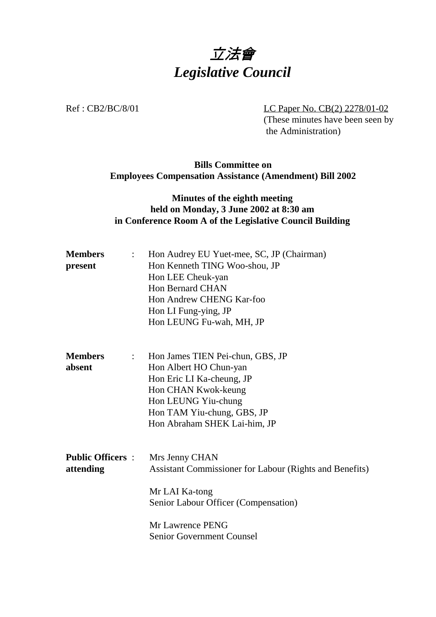

Ref : CB2/BC/8/01 LC Paper No. CB(2) 2278/01-02 (These minutes have been seen by the Administration)

## **Bills Committee on Employees Compensation Assistance (Amendment) Bill 2002**

## **Minutes of the eighth meeting held on Monday, 3 June 2002 at 8:30 am in Conference Room A of the Legislative Council Building**

| <b>Members</b><br>$\mathbb{Z}^{\mathbb{Z}}$          | Hon Audrey EU Yuet-mee, SC, JP (Chairman)               |
|------------------------------------------------------|---------------------------------------------------------|
| present                                              | Hon Kenneth TING Woo-shou, JP                           |
|                                                      | Hon LEE Cheuk-yan                                       |
|                                                      | <b>Hon Bernard CHAN</b>                                 |
|                                                      | Hon Andrew CHENG Kar-foo                                |
|                                                      | Hon LI Fung-ying, JP                                    |
|                                                      | Hon LEUNG Fu-wah, MH, JP                                |
| <b>Members</b><br>$\mathbb{Z}^{\mathbb{Z}^{\times}}$ | Hon James TIEN Pei-chun, GBS, JP                        |
| absent                                               | Hon Albert HO Chun-yan                                  |
|                                                      | Hon Eric LI Ka-cheung, JP                               |
|                                                      | Hon CHAN Kwok-keung                                     |
|                                                      | Hon LEUNG Yiu-chung                                     |
|                                                      | Hon TAM Yiu-chung, GBS, JP                              |
|                                                      | Hon Abraham SHEK Lai-him, JP                            |
| <b>Public Officers :</b>                             | Mrs Jenny CHAN                                          |
| attending                                            | Assistant Commissioner for Labour (Rights and Benefits) |
|                                                      | Mr LAI Ka-tong                                          |
|                                                      | Senior Labour Officer (Compensation)                    |
|                                                      | Mr Lawrence PENG                                        |
|                                                      | <b>Senior Government Counsel</b>                        |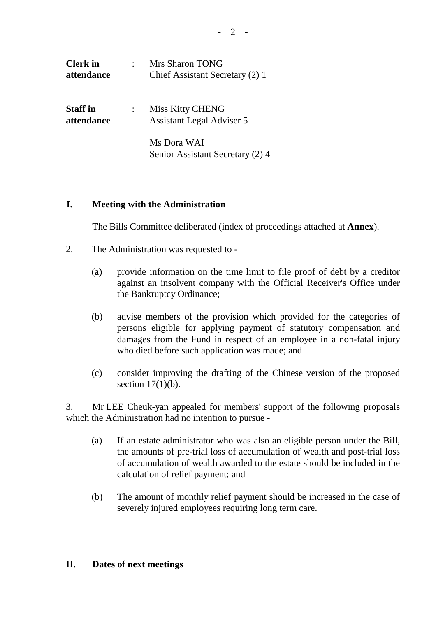| <b>Clerk</b> in<br>attendance | Mrs Sharon TONG<br>Chief Assistant Secretary (2) 1          |
|-------------------------------|-------------------------------------------------------------|
| <b>Staff</b> in<br>attendance | <b>Miss Kitty CHENG</b><br><b>Assistant Legal Adviser 5</b> |
|                               | Ms Dora WAI<br>Senior Assistant Secretary (2) 4             |

## **I. Meeting with the Administration**

The Bills Committee deliberated (index of proceedings attached at **Annex**).

- 2. The Administration was requested to
	- (a) provide information on the time limit to file proof of debt by a creditor against an insolvent company with the Official Receiver's Office under the Bankruptcy Ordinance;
	- (b) advise members of the provision which provided for the categories of persons eligible for applying payment of statutory compensation and damages from the Fund in respect of an employee in a non-fatal injury who died before such application was made; and
	- (c) consider improving the drafting of the Chinese version of the proposed section  $17(1)(b)$ .

3. Mr LEE Cheuk-yan appealed for members' support of the following proposals which the Administration had no intention to pursue -

- (a) If an estate administrator who was also an eligible person under the Bill, the amounts of pre-trial loss of accumulation of wealth and post-trial loss of accumulation of wealth awarded to the estate should be included in the calculation of relief payment; and
- (b) The amount of monthly relief payment should be increased in the case of severely injured employees requiring long term care.

## **II. Dates of next meetings**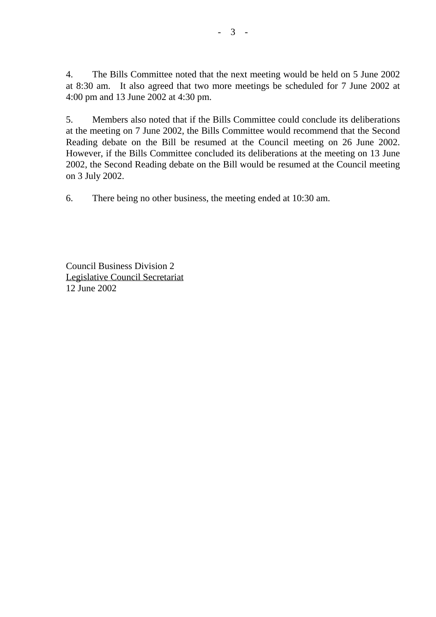4. The Bills Committee noted that the next meeting would be held on 5 June 2002 at 8:30 am. It also agreed that two more meetings be scheduled for 7 June 2002 at 4:00 pm and 13 June 2002 at 4:30 pm.

5. Members also noted that if the Bills Committee could conclude its deliberations at the meeting on 7 June 2002, the Bills Committee would recommend that the Second Reading debate on the Bill be resumed at the Council meeting on 26 June 2002. However, if the Bills Committee concluded its deliberations at the meeting on 13 June 2002, the Second Reading debate on the Bill would be resumed at the Council meeting on 3 July 2002.

6. There being no other business, the meeting ended at 10:30 am.

Council Business Division 2 Legislative Council Secretariat 12 June 2002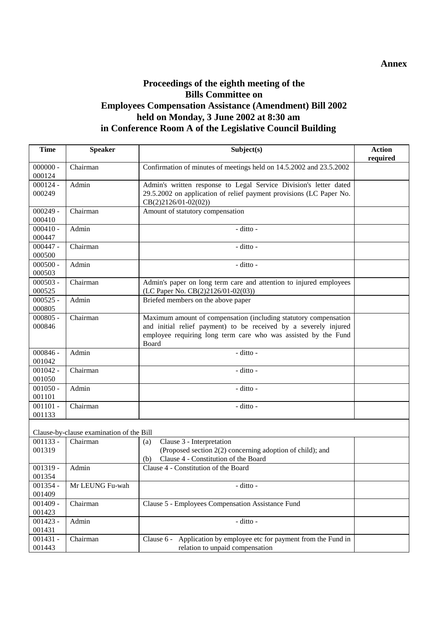## **Proceedings of the eighth meeting of the Bills Committee on Employees Compensation Assistance (Amendment) Bill 2002 held on Monday, 3 June 2002 at 8:30 am in Conference Room A of the Legislative Council Building**

| <b>Time</b>          | <b>Speaker</b>                           | Subject(s)                                                                                                                         | <b>Action</b><br>required |
|----------------------|------------------------------------------|------------------------------------------------------------------------------------------------------------------------------------|---------------------------|
| $000000 -$           | Chairman                                 | Confirmation of minutes of meetings held on 14.5.2002 and 23.5.2002                                                                |                           |
| 000124               |                                          |                                                                                                                                    |                           |
| $000124 -$           | Admin                                    | Admin's written response to Legal Service Division's letter dated                                                                  |                           |
| 000249               |                                          | 29.5.2002 on application of relief payment provisions (LC Paper No.                                                                |                           |
|                      |                                          | $CB(2)2126/01-02(02))$                                                                                                             |                           |
| $000249 -$           | Chairman                                 | Amount of statutory compensation                                                                                                   |                           |
| 000410               |                                          |                                                                                                                                    |                           |
| $000410 -$           | Admin                                    | - ditto -                                                                                                                          |                           |
| 000447               |                                          |                                                                                                                                    |                           |
| $000447 -$           | Chairman                                 | - ditto -                                                                                                                          |                           |
| 000500               |                                          |                                                                                                                                    |                           |
| $000500 -$           | Admin                                    | - ditto -                                                                                                                          |                           |
| 000503               |                                          |                                                                                                                                    |                           |
| $000503 -$           | Chairman                                 | Admin's paper on long term care and attention to injured employees                                                                 |                           |
| 000525               |                                          | (LC Paper No. CB(2)2126/01-02(03))                                                                                                 |                           |
| $000525 -$           | Admin                                    | Briefed members on the above paper                                                                                                 |                           |
| 000805               |                                          |                                                                                                                                    |                           |
| $000805 -$<br>000846 | Chairman                                 | Maximum amount of compensation (including statutory compensation                                                                   |                           |
|                      |                                          | and initial relief payment) to be received by a severely injured<br>employee requiring long term care who was assisted by the Fund |                           |
|                      |                                          | Board                                                                                                                              |                           |
| $000846 -$           | Admin                                    | $-$ ditto $-$                                                                                                                      |                           |
| 001042               |                                          |                                                                                                                                    |                           |
| $001042 -$           | Chairman                                 | - ditto -                                                                                                                          |                           |
| 001050               |                                          |                                                                                                                                    |                           |
| $001050 -$           | Admin                                    | - ditto -                                                                                                                          |                           |
| 001101               |                                          |                                                                                                                                    |                           |
| $001101 -$           | Chairman                                 | - ditto -                                                                                                                          |                           |
| 001133               |                                          |                                                                                                                                    |                           |
|                      | Clause-by-clause examination of the Bill |                                                                                                                                    |                           |
| $001133 -$           | Chairman                                 | Clause 3 - Interpretation<br>(a)                                                                                                   |                           |
| 001319               |                                          | (Proposed section 2(2) concerning adoption of child); and                                                                          |                           |
|                      |                                          | Clause 4 - Constitution of the Board<br>(b)                                                                                        |                           |
| $001319 -$           | Admin                                    | Clause 4 - Constitution of the Board                                                                                               |                           |
| 001354               |                                          |                                                                                                                                    |                           |
| 001354 -             | Mr LEUNG Fu-wah                          | - ditto -                                                                                                                          |                           |
| 001409               |                                          |                                                                                                                                    |                           |
| $001409 -$           | Chairman                                 | Clause 5 - Employees Compensation Assistance Fund                                                                                  |                           |
| 001423               |                                          |                                                                                                                                    |                           |
| $001423 -$           | Admin                                    | - ditto -                                                                                                                          |                           |
| 001431               |                                          |                                                                                                                                    |                           |
| $001431 -$           | Chairman                                 | Application by employee etc for payment from the Fund in<br>Clause 6 -                                                             |                           |
| 001443               |                                          | relation to unpaid compensation                                                                                                    |                           |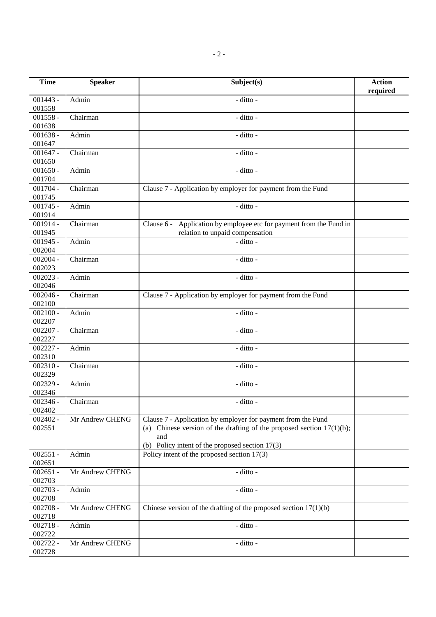| <b>Time</b>          | <b>Speaker</b>  | Subject(s)                                                                                                                                                                                           | <b>Action</b><br>required |
|----------------------|-----------------|------------------------------------------------------------------------------------------------------------------------------------------------------------------------------------------------------|---------------------------|
| $001443 -$<br>001558 | Admin           | - ditto -                                                                                                                                                                                            |                           |
| $001558 -$<br>001638 | Chairman        | - ditto -                                                                                                                                                                                            |                           |
| $001638 -$<br>001647 | Admin           | - ditto -                                                                                                                                                                                            |                           |
| $001647 -$<br>001650 | Chairman        | - ditto -                                                                                                                                                                                            |                           |
| $001650 -$<br>001704 | Admin           | - ditto -                                                                                                                                                                                            |                           |
| $001704 -$<br>001745 | Chairman        | Clause 7 - Application by employer for payment from the Fund                                                                                                                                         |                           |
| $001745 -$<br>001914 | Admin           | - ditto -                                                                                                                                                                                            |                           |
| $001914 -$<br>001945 | Chairman        | Application by employee etc for payment from the Fund in<br>Clause 6 -<br>relation to unpaid compensation                                                                                            |                           |
| $001945 -$<br>002004 | Admin           | - ditto -                                                                                                                                                                                            |                           |
| $002004 -$<br>002023 | Chairman        | - ditto -                                                                                                                                                                                            |                           |
| $002023 -$<br>002046 | Admin           | - ditto -                                                                                                                                                                                            |                           |
| $002046 -$<br>002100 | Chairman        | Clause 7 - Application by employer for payment from the Fund                                                                                                                                         |                           |
| $002100 -$<br>002207 | Admin           | - ditto -                                                                                                                                                                                            |                           |
| $002207 -$<br>002227 | Chairman        | - ditto -                                                                                                                                                                                            |                           |
| $002227 -$<br>002310 | Admin           | - ditto -                                                                                                                                                                                            |                           |
| $002310 -$<br>002329 | Chairman        | - ditto -                                                                                                                                                                                            |                           |
| $002329 -$<br>002346 | Admin           | - ditto -                                                                                                                                                                                            |                           |
| $002346 -$<br>002402 | Chairman        | - ditto -                                                                                                                                                                                            |                           |
| $002402 -$<br>002551 | Mr Andrew CHENG | Clause 7 - Application by employer for payment from the Fund<br>(a) Chinese version of the drafting of the proposed section $17(1)(b)$ ;<br>and<br>(b) Policy intent of the proposed section $17(3)$ |                           |
| $002551 -$<br>002651 | Admin           | Policy intent of the proposed section $17(3)$                                                                                                                                                        |                           |
| $002651 -$<br>002703 | Mr Andrew CHENG | - ditto -                                                                                                                                                                                            |                           |
| $002703 -$<br>002708 | Admin           | - ditto -                                                                                                                                                                                            |                           |
| $002708 -$<br>002718 | Mr Andrew CHENG | Chinese version of the drafting of the proposed section $17(1)(b)$                                                                                                                                   |                           |
| $002718 -$<br>002722 | Admin           | - ditto -                                                                                                                                                                                            |                           |
| 002722 -<br>002728   | Mr Andrew CHENG | - ditto -                                                                                                                                                                                            |                           |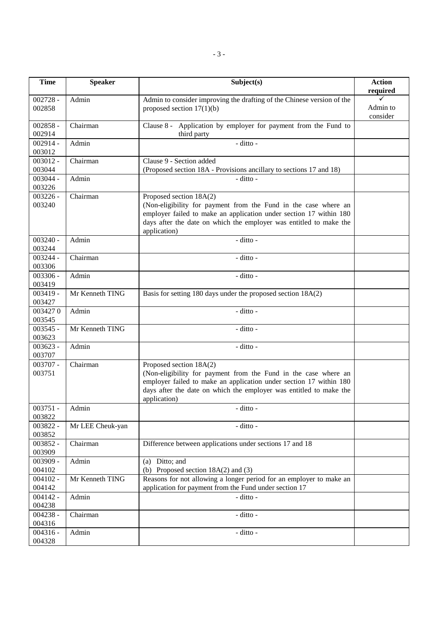| <b>Time</b>          | <b>Speaker</b>   | Subject(s)                                                                                                                                                                                                                                             | <b>Action</b><br>required |
|----------------------|------------------|--------------------------------------------------------------------------------------------------------------------------------------------------------------------------------------------------------------------------------------------------------|---------------------------|
| $002728 -$<br>002858 | Admin            | Admin to consider improving the drafting of the Chinese version of the<br>proposed section $17(1)(b)$                                                                                                                                                  | Admin to<br>consider      |
| $002858 -$<br>002914 | Chairman         | Clause 8 - Application by employer for payment from the Fund to<br>third party                                                                                                                                                                         |                           |
| $002914 -$<br>003012 | Admin            | - ditto -                                                                                                                                                                                                                                              |                           |
| $003012 -$<br>003044 | Chairman         | Clause 9 - Section added<br>(Proposed section 18A - Provisions ancillary to sections 17 and 18)                                                                                                                                                        |                           |
| $003044 -$<br>003226 | Admin            | - ditto -                                                                                                                                                                                                                                              |                           |
| $003226 -$<br>003240 | Chairman         | Proposed section 18A(2)<br>(Non-eligibility for payment from the Fund in the case where an<br>employer failed to make an application under section 17 within 180<br>days after the date on which the employer was entitled to make the<br>application) |                           |
| $003240 -$<br>003244 | Admin            | - ditto -                                                                                                                                                                                                                                              |                           |
| $003244 -$<br>003306 | Chairman         | - ditto -                                                                                                                                                                                                                                              |                           |
| $003306 -$<br>003419 | Admin            | - ditto -                                                                                                                                                                                                                                              |                           |
| $003419 -$<br>003427 | Mr Kenneth TING  | Basis for setting 180 days under the proposed section 18A(2)                                                                                                                                                                                           |                           |
| 0034270<br>003545    | Admin            | - ditto -                                                                                                                                                                                                                                              |                           |
| $003545 -$<br>003623 | Mr Kenneth TING  | - ditto -                                                                                                                                                                                                                                              |                           |
| $003623 -$<br>003707 | Admin            | - ditto -                                                                                                                                                                                                                                              |                           |
| 003707 -<br>003751   | Chairman         | Proposed section 18A(2)<br>(Non-eligibility for payment from the Fund in the case where an<br>employer failed to make an application under section 17 within 180<br>days after the date on which the employer was entitled to make the<br>application) |                           |
| $003751 -$<br>003822 | Admin            | - ditto -                                                                                                                                                                                                                                              |                           |
| 003822 -<br>003852   | Mr LEE Cheuk-yan | - ditto -                                                                                                                                                                                                                                              |                           |
| $003852 -$<br>003909 | Chairman         | Difference between applications under sections 17 and 18                                                                                                                                                                                               |                           |
| 003909 -<br>004102   | Admin            | (a) Ditto; and<br>(b) Proposed section $18A(2)$ and (3)                                                                                                                                                                                                |                           |
| $004102 -$<br>004142 | Mr Kenneth TING  | Reasons for not allowing a longer period for an employer to make an<br>application for payment from the Fund under section 17                                                                                                                          |                           |
| $004142 -$<br>004238 | Admin            | - ditto -                                                                                                                                                                                                                                              |                           |
| $004238 -$<br>004316 | Chairman         | - ditto -                                                                                                                                                                                                                                              |                           |
| $004316 -$<br>004328 | Admin            | - ditto -                                                                                                                                                                                                                                              |                           |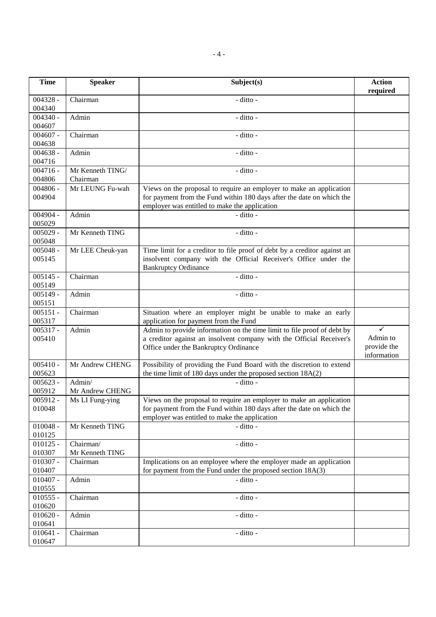| <b>Time</b>          | <b>Speaker</b>               | Subject(s)                                                                                                                                                                                    | <b>Action</b><br>required              |
|----------------------|------------------------------|-----------------------------------------------------------------------------------------------------------------------------------------------------------------------------------------------|----------------------------------------|
| $004328 -$<br>004340 | Chairman                     | $-$ ditto $-$                                                                                                                                                                                 |                                        |
| $004340 -$<br>004607 | Admin                        | - ditto -                                                                                                                                                                                     |                                        |
| $004607 -$<br>004638 | Chairman                     | - ditto -                                                                                                                                                                                     |                                        |
| $004638 -$<br>004716 | Admin                        | - ditto -                                                                                                                                                                                     |                                        |
| $004716 -$<br>004806 | Mr Kenneth TING/<br>Chairman | - ditto -                                                                                                                                                                                     |                                        |
| $004806 -$           | Mr LEUNG Fu-wah              | Views on the proposal to require an employer to make an application                                                                                                                           |                                        |
| 004904               |                              | for payment from the Fund within 180 days after the date on which the<br>employer was entitled to make the application                                                                        |                                        |
| $004904 -$<br>005029 | Admin                        | - ditto -                                                                                                                                                                                     |                                        |
| $005029 -$<br>005048 | Mr Kenneth TING              | - ditto -                                                                                                                                                                                     |                                        |
| $005048 -$           | Mr LEE Cheuk-yan             | Time limit for a creditor to file proof of debt by a creditor against an                                                                                                                      |                                        |
| 005145               |                              | insolvent company with the Official Receiver's Office under the<br><b>Bankruptcy Ordinance</b>                                                                                                |                                        |
| $005145 -$<br>005149 | Chairman                     | - ditto -                                                                                                                                                                                     |                                        |
| $005149 -$<br>005151 | Admin                        | - ditto -                                                                                                                                                                                     |                                        |
| $005151 -$<br>005317 | Chairman                     | Situation where an employer might be unable to make an early<br>application for payment from the Fund                                                                                         |                                        |
| $005317 -$           | Admin                        | Admin to provide information on the time limit to file proof of debt by                                                                                                                       | $\checkmark$                           |
| 005410               |                              | a creditor against an insolvent company with the Official Receiver's<br>Office under the Bankruptcy Ordinance                                                                                 | Admin to<br>provide the<br>information |
| $005410 -$<br>005623 | Mr Andrew CHENG              | Possibility of providing the Fund Board with the discretion to extend<br>the time limit of 180 days under the proposed section 18A(2)                                                         |                                        |
| $005623 -$           | Admin/                       | - ditto -                                                                                                                                                                                     |                                        |
| 005912               | Mr Andrew CHENG              |                                                                                                                                                                                               |                                        |
| $005912 -$<br>010048 | Ms LI Fung-ying              | Views on the proposal to require an employer to make an application<br>for payment from the Fund within 180 days after the date on which the<br>employer was entitled to make the application |                                        |
| $010048 -$<br>010125 | Mr Kenneth TING              | - ditto -                                                                                                                                                                                     |                                        |
| $010125 -$           | Chairman/                    | - ditto -                                                                                                                                                                                     |                                        |
| 010307               | Mr Kenneth TING              |                                                                                                                                                                                               |                                        |
| $010307 -$<br>010407 | Chairman                     | Implications on an employee where the employer made an application<br>for payment from the Fund under the proposed section 18A(3)                                                             |                                        |
| $010407 -$<br>010555 | Admin                        | - ditto -                                                                                                                                                                                     |                                        |
| $010555 -$<br>010620 | Chairman                     | - ditto -                                                                                                                                                                                     |                                        |
| $010620 -$<br>010641 | Admin                        | - ditto -                                                                                                                                                                                     |                                        |
| $010641 -$<br>010647 | Chairman                     | - ditto -                                                                                                                                                                                     |                                        |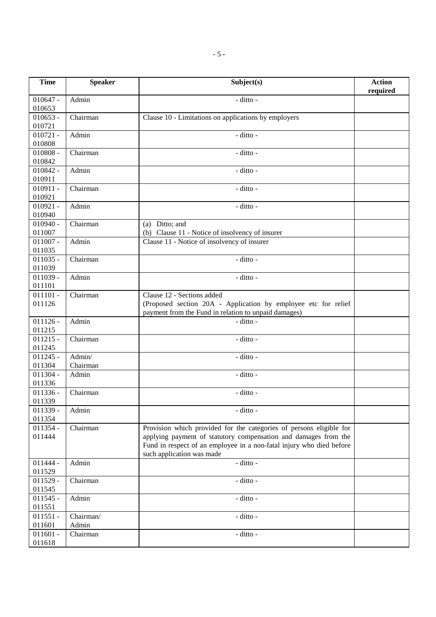| <b>Time</b>          | <b>Speaker</b>     | Subject(s)                                                                                                                                                                                                                                  | <b>Action</b><br>required |
|----------------------|--------------------|---------------------------------------------------------------------------------------------------------------------------------------------------------------------------------------------------------------------------------------------|---------------------------|
| $010647 -$<br>010653 | Admin              | - ditto -                                                                                                                                                                                                                                   |                           |
| $010653 -$<br>010721 | Chairman           | Clause 10 - Limitations on applications by employers                                                                                                                                                                                        |                           |
| $010721 -$<br>010808 | Admin              | - ditto -                                                                                                                                                                                                                                   |                           |
| $010808 -$<br>010842 | Chairman           | - ditto -                                                                                                                                                                                                                                   |                           |
| 010842 -<br>010911   | Admin              | - ditto -                                                                                                                                                                                                                                   |                           |
| $010911 -$<br>010921 | Chairman           | - ditto -                                                                                                                                                                                                                                   |                           |
| $010921 -$<br>010940 | Admin              | - ditto -                                                                                                                                                                                                                                   |                           |
| $010940 -$<br>011007 | Chairman           | (a) Ditto; and<br>(b) Clause 11 - Notice of insolvency of insurer                                                                                                                                                                           |                           |
| $011007 -$<br>011035 | Admin              | Clause 11 - Notice of insolvency of insurer                                                                                                                                                                                                 |                           |
| $011035 -$<br>011039 | Chairman           | - ditto -                                                                                                                                                                                                                                   |                           |
| $011039 -$<br>011101 | Admin              | - ditto -                                                                                                                                                                                                                                   |                           |
| $011101 -$<br>011126 | Chairman           | Clause 12 - Sections added<br>(Proposed section 20A - Application by employee etc for relief<br>payment from the Fund in relation to unpaid damages)                                                                                        |                           |
| $011126 -$<br>011215 | Admin              | - ditto -                                                                                                                                                                                                                                   |                           |
| $011215 -$<br>011245 | Chairman           | - ditto -                                                                                                                                                                                                                                   |                           |
| $011245 -$<br>011304 | Admin/<br>Chairman | - ditto -                                                                                                                                                                                                                                   |                           |
| $011304 -$<br>011336 | Admin              | - ditto -                                                                                                                                                                                                                                   |                           |
| $011336 -$<br>011339 | Chairman           | - ditto -                                                                                                                                                                                                                                   |                           |
| 011339 -<br>011354   | Admin              | - ditto -                                                                                                                                                                                                                                   |                           |
| 011354 -<br>011444   | Chairman           | Provision which provided for the categories of persons eligible for<br>applying payment of statutory compensation and damages from the<br>Fund in respect of an employee in a non-fatal injury who died before<br>such application was made |                           |
| $011444 -$<br>011529 | Admin              | - ditto -                                                                                                                                                                                                                                   |                           |
| $011529 -$<br>011545 | Chairman           | - ditto -                                                                                                                                                                                                                                   |                           |
| $011545 -$<br>011551 | Admin              | - ditto -                                                                                                                                                                                                                                   |                           |
| $011551 -$<br>011601 | Chairman/<br>Admin | - ditto -                                                                                                                                                                                                                                   |                           |
| $011601 -$<br>011618 | Chairman           | - ditto -                                                                                                                                                                                                                                   |                           |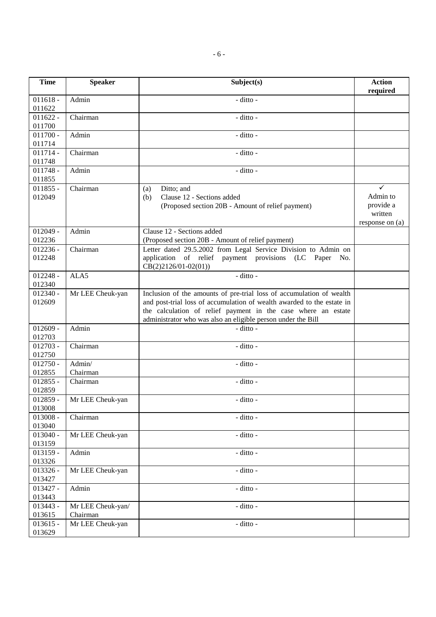| <b>Time</b>          | <b>Speaker</b>                | Subject(s)                                                                                                                                                                                                                                                                      | <b>Action</b><br>required                           |
|----------------------|-------------------------------|---------------------------------------------------------------------------------------------------------------------------------------------------------------------------------------------------------------------------------------------------------------------------------|-----------------------------------------------------|
| $011618 -$<br>011622 | Admin                         | - ditto -                                                                                                                                                                                                                                                                       |                                                     |
| $011622 -$<br>011700 | Chairman                      | - ditto -                                                                                                                                                                                                                                                                       |                                                     |
| $011700 -$<br>011714 | Admin                         | - ditto -                                                                                                                                                                                                                                                                       |                                                     |
| $011714 -$<br>011748 | Chairman                      | - ditto -                                                                                                                                                                                                                                                                       |                                                     |
| $011748 -$<br>011855 | Admin                         | - ditto -                                                                                                                                                                                                                                                                       |                                                     |
| $011855 -$<br>012049 | Chairman                      | Ditto; and<br>(a)<br>Clause 12 - Sections added<br>(b)<br>(Proposed section 20B - Amount of relief payment)                                                                                                                                                                     | Admin to<br>provide a<br>written<br>response on (a) |
| $012049 -$<br>012236 | Admin                         | Clause 12 - Sections added<br>(Proposed section 20B - Amount of relief payment)                                                                                                                                                                                                 |                                                     |
| $012236 -$<br>012248 | Chairman                      | Letter dated 29.5.2002 from Legal Service Division to Admin on<br>application of relief payment provisions (LC Paper<br>No.<br>$CB(2)2126/01-02(01))$                                                                                                                           |                                                     |
| $012248 -$<br>012340 | ALA5                          | - ditto -                                                                                                                                                                                                                                                                       |                                                     |
| $012340 -$<br>012609 | Mr LEE Cheuk-yan              | Inclusion of the amounts of pre-trial loss of accumulation of wealth<br>and post-trial loss of accumulation of wealth awarded to the estate in<br>the calculation of relief payment in the case where an estate<br>administrator who was also an eligible person under the Bill |                                                     |
| $012609 -$<br>012703 | Admin                         | - ditto -                                                                                                                                                                                                                                                                       |                                                     |
| $012703 -$<br>012750 | Chairman                      | - ditto -                                                                                                                                                                                                                                                                       |                                                     |
| $012750 -$<br>012855 | Admin/<br>Chairman            | - ditto -                                                                                                                                                                                                                                                                       |                                                     |
| $012855 -$<br>012859 | Chairman                      | - ditto -                                                                                                                                                                                                                                                                       |                                                     |
| $012859 -$<br>013008 | Mr LEE Cheuk-yan              | - ditto -                                                                                                                                                                                                                                                                       |                                                     |
| $013008 -$<br>013040 | Chairman                      | - ditto -                                                                                                                                                                                                                                                                       |                                                     |
| $013040 -$<br>013159 | Mr LEE Cheuk-yan              | - ditto -                                                                                                                                                                                                                                                                       |                                                     |
| $013159 -$<br>013326 | Admin                         | - ditto -                                                                                                                                                                                                                                                                       |                                                     |
| 013326 -<br>013427   | Mr LEE Cheuk-yan              | - ditto -                                                                                                                                                                                                                                                                       |                                                     |
| $013427 -$<br>013443 | Admin                         | $-$ ditto -                                                                                                                                                                                                                                                                     |                                                     |
| 013443 -<br>013615   | Mr LEE Cheuk-yan/<br>Chairman | - ditto -                                                                                                                                                                                                                                                                       |                                                     |
| $013615 -$<br>013629 | Mr LEE Cheuk-yan              | - ditto -                                                                                                                                                                                                                                                                       |                                                     |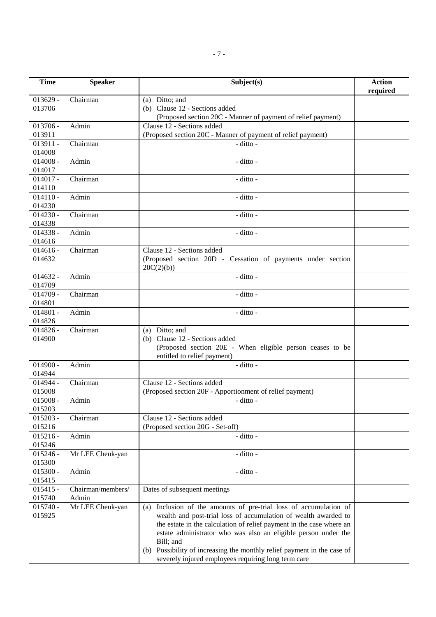| <b>Time</b>          | <b>Speaker</b>    | Subject(s)                                                              | <b>Action</b><br>required |
|----------------------|-------------------|-------------------------------------------------------------------------|---------------------------|
| $013629 -$           | Chairman          | (a) Ditto; and                                                          |                           |
| 013706               |                   | (b) Clause 12 - Sections added                                          |                           |
|                      |                   | (Proposed section 20C - Manner of payment of relief payment)            |                           |
| $013706 -$           | Admin             | Clause 12 - Sections added                                              |                           |
| 013911               |                   | (Proposed section 20C - Manner of payment of relief payment)            |                           |
| $013911 -$           | Chairman          | - ditto -                                                               |                           |
| 014008               |                   |                                                                         |                           |
| $014008 -$           | Admin             | - ditto -                                                               |                           |
| 014017               |                   |                                                                         |                           |
| $014017 -$           | Chairman          | - ditto -                                                               |                           |
| 014110               |                   |                                                                         |                           |
| $014110 -$           | Admin             | - ditto -                                                               |                           |
| 014230               |                   |                                                                         |                           |
| $014230 -$           | Chairman          | - ditto -                                                               |                           |
| 014338               |                   |                                                                         |                           |
| $014338 -$           | Admin             | - ditto -                                                               |                           |
| 014616               |                   | Clause 12 - Sections added                                              |                           |
| $014616 -$<br>014632 | Chairman          | (Proposed section 20D - Cessation of payments under section             |                           |
|                      |                   | 20C(2)(b)                                                               |                           |
| $014632 -$           | Admin             | - ditto -                                                               |                           |
| 014709               |                   |                                                                         |                           |
| $014709 -$           | Chairman          | - ditto -                                                               |                           |
| 014801               |                   |                                                                         |                           |
| $014801 -$           | Admin             | - ditto -                                                               |                           |
| 014826               |                   |                                                                         |                           |
| $014826 -$           | Chairman          | (a) Ditto; and                                                          |                           |
| 014900               |                   | (b) Clause 12 - Sections added                                          |                           |
|                      |                   | (Proposed section 20E - When eligible person ceases to be               |                           |
|                      |                   | entitled to relief payment)                                             |                           |
| $014900 -$           | Admin             | - ditto -                                                               |                           |
| 014944               |                   |                                                                         |                           |
| 014944 -             | Chairman          | Clause 12 - Sections added                                              |                           |
| 015008               |                   | (Proposed section 20F - Apportionment of relief payment)                |                           |
| $015008 -$           | Admin             | - ditto -                                                               |                           |
| 015203               |                   |                                                                         |                           |
| $015203 -$<br>015216 | Chairman          | Clause 12 - Sections added<br>(Proposed section 20G - Set-off)          |                           |
| $015216 -$           | Admin             | - ditto -                                                               |                           |
| 015246               |                   |                                                                         |                           |
| $015246 -$           | Mr LEE Cheuk-yan  | - ditto -                                                               |                           |
| 015300               |                   |                                                                         |                           |
| $015300 -$           | Admin             | - ditto -                                                               |                           |
| 015415               |                   |                                                                         |                           |
| $015415 -$           | Chairman/members/ | Dates of subsequent meetings                                            |                           |
| 015740               | Admin             |                                                                         |                           |
| $015740 -$           | Mr LEE Cheuk-yan  | Inclusion of the amounts of pre-trial loss of accumulation of<br>(a)    |                           |
| 015925               |                   | wealth and post-trial loss of accumulation of wealth awarded to         |                           |
|                      |                   | the estate in the calculation of relief payment in the case where an    |                           |
|                      |                   | estate administrator who was also an eligible person under the          |                           |
|                      |                   | Bill; and                                                               |                           |
|                      |                   | (b) Possibility of increasing the monthly relief payment in the case of |                           |
|                      |                   | severely injured employees requiring long term care                     |                           |